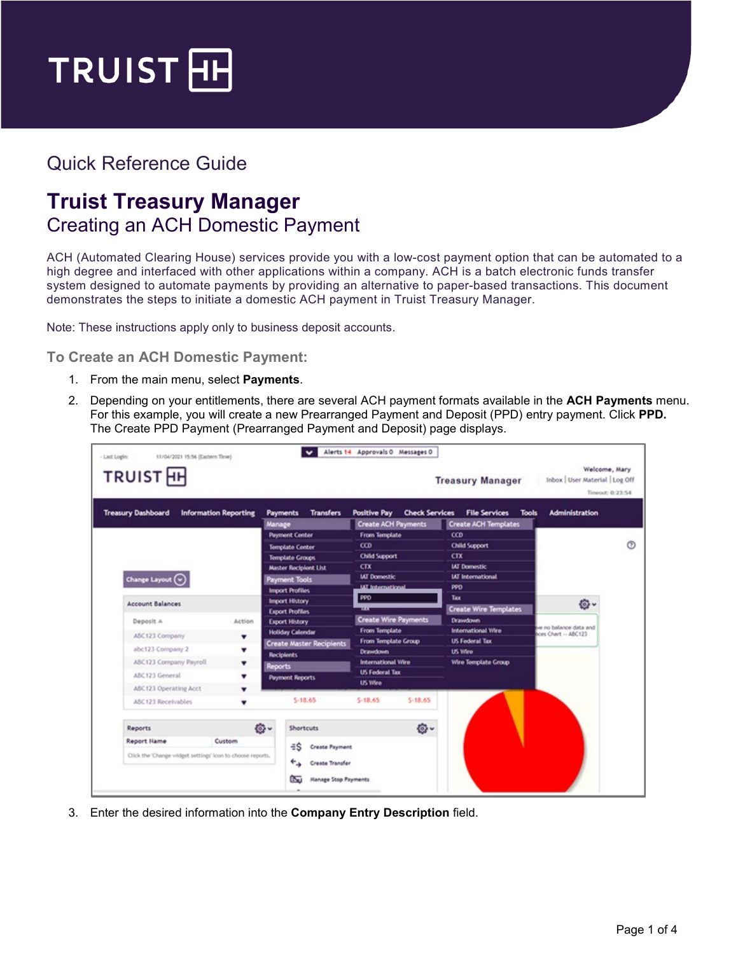

## Quick Reference Guide

## **Truist Treasury Manager** Creating an ACH Domestic Payment

ACH (Automated Clearing House) services provide you with a low-cost payment option that can be automated to a high degree and interfaced with other applications within a company. ACH is a batch electronic funds transfer system designed to automate payments by providing an alternative to paper-based transactions. This document demonstrates the steps to initiate a domestic ACH payment in Truist Treasury Manager.

Note: These instructions apply only to business deposit accounts.

**To Create an ACH Domestic Payment:**

- 1. From the main menu, select **Payments**.
- 2. Depending on your entitlements, there are several ACH payment formats available in the **ACH Payments** menu. For this example, you will create a new Prearranged Payment and Deposit (PPD) entry payment. Click **PPD.** The Create PPD Payment (Prearranged Payment and Deposit) page displays.

| <b>TRUIST</b> <sub>HH</sub>                  | <b>Information Reporting</b>                               | <b>Transfers</b>                     | <b>Positive Pay</b>                                                        | <b>Check Services</b> | <b>Treasury Manager</b><br><b>File Services</b> | Inbox   User Material   Log Off<br>Timeout: 0:23:54<br><b>Administration</b><br><b>Tools</b> |                        |  |  |
|----------------------------------------------|------------------------------------------------------------|--------------------------------------|----------------------------------------------------------------------------|-----------------------|-------------------------------------------------|----------------------------------------------------------------------------------------------|------------------------|--|--|
| <b>Treasury Dashboard</b>                    |                                                            | <b>Payments</b><br>Manage            | <b>Create ACH Payments</b>                                                 |                       | <b>Create ACH Templates</b>                     |                                                                                              |                        |  |  |
|                                              |                                                            | <b>Payment Center</b>                | From Template                                                              |                       | CCD                                             |                                                                                              |                        |  |  |
|                                              |                                                            | <b>Template Center</b>               | CD                                                                         |                       | Child Support                                   |                                                                                              |                        |  |  |
|                                              |                                                            | <b>Template Groups</b>               | <b>Child Support</b>                                                       |                       | CTX                                             |                                                                                              |                        |  |  |
|                                              |                                                            | <b>Master Recipient List</b>         | <b>CTX</b>                                                                 |                       | <b>IAT Domestic</b>                             |                                                                                              |                        |  |  |
| Change Layout $\left(\widehat{\cdot}\right)$ |                                                            | <b>Payment Tools</b>                 | <b>IAT Domestic</b>                                                        |                       | <b>IAT</b> International                        |                                                                                              |                        |  |  |
|                                              |                                                            | <b>Import Profiles</b>               | <b>IAT International</b>                                                   |                       | PPD                                             |                                                                                              |                        |  |  |
| <b>Account Balances</b>                      |                                                            | <b>Import History</b>                | PPD                                                                        |                       | Tax                                             | o.                                                                                           |                        |  |  |
|                                              |                                                            | <b>Export Profiles</b>               | <b>TELET</b>                                                               |                       | <b>Create Wire Templates</b>                    |                                                                                              |                        |  |  |
| Deposit A                                    | Action                                                     | <b>Export History</b>                | <b>Create Wire Payments</b><br><b>From Template</b><br>From Template Group |                       | <b>Drawdown</b><br>International Wire           |                                                                                              | bns steb eonsled on ev |  |  |
| ABC123 Company                               | ۰                                                          | <b>Holiday Calendar</b>              |                                                                            |                       | <b>US Federal Tax</b>                           | ces Chart - ABC123                                                                           |                        |  |  |
| abc123 Company 2                             | ۰                                                          | <b>Create Master Recipients</b>      | <b>Drawdown</b>                                                            |                       | <b>US Wire</b>                                  |                                                                                              |                        |  |  |
| ABC123 Company Payroll                       | ۰                                                          | <b>Recipients</b>                    | <b>International Vilre</b>                                                 |                       | Wire Template Group                             |                                                                                              |                        |  |  |
| ABC123 General                               |                                                            | <b>Reports</b>                       | <b>US Federal Tax</b>                                                      |                       |                                                 |                                                                                              |                        |  |  |
|                                              | ▼                                                          | <b>Payment Reports</b>               | <b>US Wire</b>                                                             |                       |                                                 |                                                                                              |                        |  |  |
| ABC123 Operating Acct                        | ۰                                                          |                                      |                                                                            |                       |                                                 |                                                                                              |                        |  |  |
| ABC123 Receivables                           |                                                            | 5.18.65                              | $$-18.65$                                                                  | $S-18.65$             |                                                 |                                                                                              |                        |  |  |
| Reports                                      | <b>©~</b>                                                  | Shortcuts                            |                                                                            | <b>卷-</b>             |                                                 |                                                                                              |                        |  |  |
| <b>Report Name</b>                           | Custom                                                     |                                      |                                                                            |                       |                                                 |                                                                                              |                        |  |  |
|                                              | Click the 'Change widget settings' icon to choose reports. | $\exists$ S<br><b>Create Payment</b> |                                                                            |                       |                                                 |                                                                                              |                        |  |  |

3. Enter the desired information into the **Company Entry Description** field.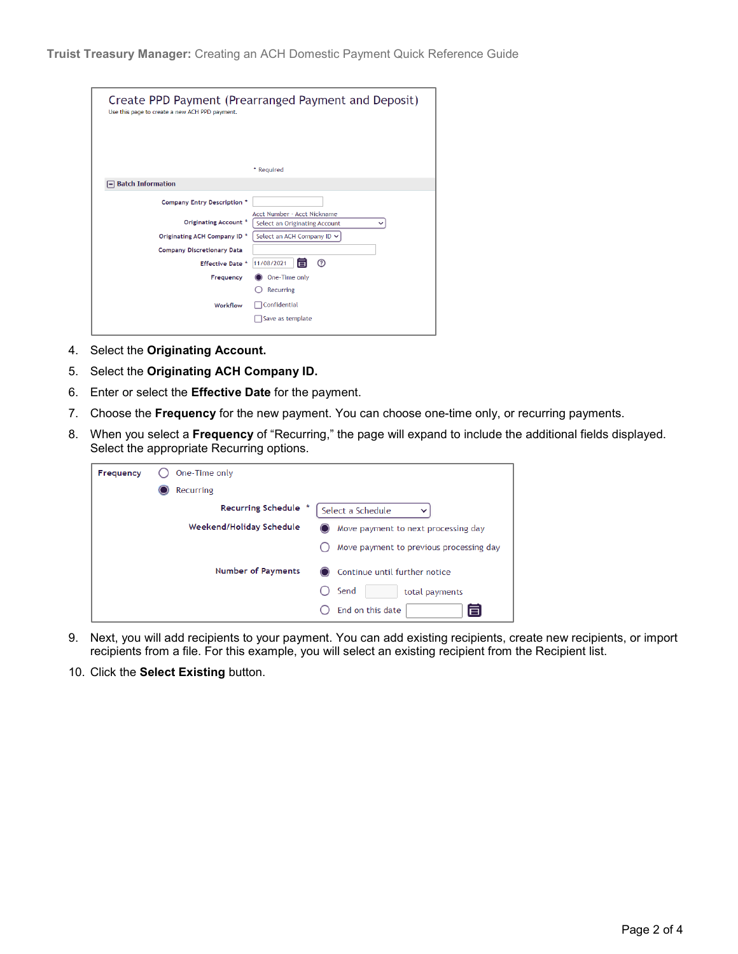| Use this page to create a new ACH PPD payment. | Create PPD Payment (Prearranged Payment and Deposit)         |
|------------------------------------------------|--------------------------------------------------------------|
|                                                | * Required                                                   |
| $\equiv$ Batch Information                     |                                                              |
| <b>Company Entry Description *</b>             |                                                              |
| Originating Account *                          | Acct Number - Acct Nickname<br>Select an Originating Account |
| Originating ACH Company ID *                   | Select an ACH Company ID ∨                                   |
| <b>Company Discretionary Data</b>              |                                                              |
| Effective Date *                               | <u>(?)</u><br>盲<br>11/08/2021                                |
| Frequency                                      | One-Time only                                                |
| Workflow                                       | Recurring<br>Confidential<br>Save as template                |

- 4. Select the **Originating Account.**
- 5. Select the **Originating ACH Company ID.**
- 6. Enter or select the **Effective Date** for the payment.
- 7. Choose the **Frequency** for the new payment. You can choose one-time only, or recurring payments.
- 8. When you select a **Frequency** of "Recurring," the page will expand to include the additional fields displayed. Select the appropriate Recurring options.

| Frequency | One-Time only                                                          |
|-----------|------------------------------------------------------------------------|
|           | Recurring                                                              |
|           | <b>Recurring Schedule</b><br>Select a Schedule                         |
|           | Weekend/Holiday Schedule<br>Move payment to next processing day<br>( ) |
|           | Move payment to previous processing day                                |
|           | <b>Number of Payments</b><br>◯ Continue until further notice           |
|           | Send<br>total payments                                                 |
|           | End on this date<br>百                                                  |

- 9. Next, you will add recipients to your payment. You can add existing recipients, create new recipients, or import recipients from a file. For this example, you will select an existing recipient from the Recipient list.
- 10. Click the **Select Existing** button.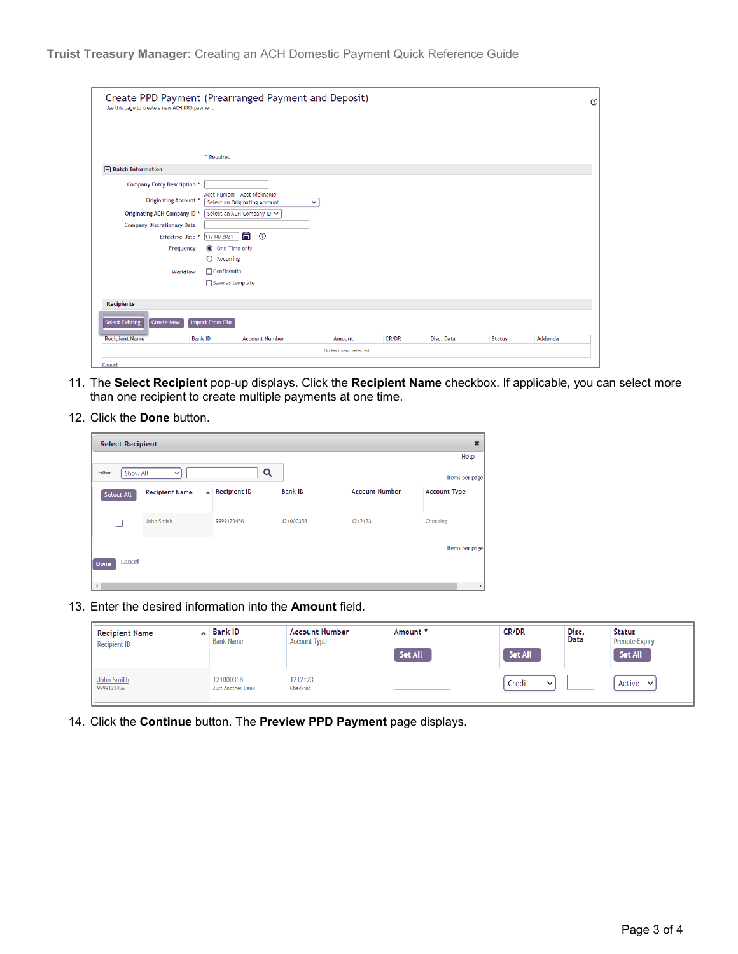| Create PPD Payment (Prearranged Payment and Deposit)<br>Use this page to create a new ACH PPD payment. |                          |                                                                              |                       |              |            |               | $^{\circ}$ |
|--------------------------------------------------------------------------------------------------------|--------------------------|------------------------------------------------------------------------------|-----------------------|--------------|------------|---------------|------------|
|                                                                                                        |                          |                                                                              |                       |              |            |               |            |
|                                                                                                        |                          |                                                                              |                       |              |            |               |            |
|                                                                                                        | * Required               |                                                                              |                       |              |            |               |            |
| $\Box$ Batch Information                                                                               |                          |                                                                              |                       |              |            |               |            |
| <b>Company Entry Description *</b>                                                                     |                          |                                                                              |                       |              |            |               |            |
| Originating Account *                                                                                  |                          | Acct Number - Acct Nickname<br>Select an Originating Account<br>$\checkmark$ |                       |              |            |               |            |
| Originating ACH Company ID *                                                                           |                          | Select an ACH Company ID ↓                                                   |                       |              |            |               |            |
| <b>Company Discretionary Data</b>                                                                      |                          |                                                                              |                       |              |            |               |            |
| <b>Effective Date *</b>                                                                                | 11/18/2021               | 自<br>$^{\circ}$                                                              |                       |              |            |               |            |
| Frequency                                                                                              | One-Time only<br>$\circ$ |                                                                              |                       |              |            |               |            |
|                                                                                                        | $\bigcirc$ Recurring     |                                                                              |                       |              |            |               |            |
| Workflow                                                                                               | $\Box$ Confidential      |                                                                              |                       |              |            |               |            |
|                                                                                                        | Save as template         |                                                                              |                       |              |            |               |            |
|                                                                                                        |                          |                                                                              |                       |              |            |               |            |
| <b>Recipients</b>                                                                                      |                          |                                                                              |                       |              |            |               |            |
| <b>Select Existing</b><br><b>Create New</b>                                                            | <b>Import From File</b>  |                                                                              |                       |              |            |               |            |
| <b>Recipient Name</b>                                                                                  | <b>Bank ID</b>           | <b>Account Number</b>                                                        | Amount                | <b>CR/DR</b> | Disc. Data | <b>Status</b> | Addenda    |
|                                                                                                        |                          |                                                                              | No Recipient Selected |              |            |               |            |
| Cancel                                                                                                 |                          |                                                                              |                       |              |            |               |            |

- 11. The **Select Recipient** pop-up displays. Click the **Recipient Name** checkbox. If applicable, you can select more than one recipient to create multiple payments at one time.
- 12. Click the **Done** button.

| <b>Select Recipient</b> |                       |              |                |                       | $\boldsymbol{\mathsf{x}}$ |
|-------------------------|-----------------------|--------------|----------------|-----------------------|---------------------------|
|                         |                       |              |                |                       | Help                      |
| Filter<br>Show All      | $\checkmark$          |              | Q              |                       | Items per page            |
| Select All              | <b>Recipient Name</b> | Recipient ID | <b>Bank ID</b> | <b>Account Number</b> | <b>Account Type</b>       |
|                         | John Smith            | 9999123456   | 121000358      | 1212123               | Checking                  |
| Cancel<br>Done          |                       |              |                |                       | Items per page            |
| $\left  \cdot \right $  |                       |              |                |                       |                           |

13. Enter the desired information into the **Amount** field.

| <b>Recipient Name</b><br>ᄾ<br><b>Recipient ID</b> | <b>Bank ID</b><br><b>Bank Name</b> | <b>Account Number</b><br><b>Account Type</b> | Amount *<br>Set All | CR/DR<br>Set All       | Disc.<br>Data | <b>Status</b><br><b>Prenote Expiry</b><br>Set All |
|---------------------------------------------------|------------------------------------|----------------------------------------------|---------------------|------------------------|---------------|---------------------------------------------------|
| John Smith<br>9999123456                          | 121000358<br>Just Another Bank     | 1212123<br>Checking                          |                     | Credit<br>$\checkmark$ |               | Active<br>$\checkmark$                            |

14. Click the **Continue** button. The **Preview PPD Payment** page displays.